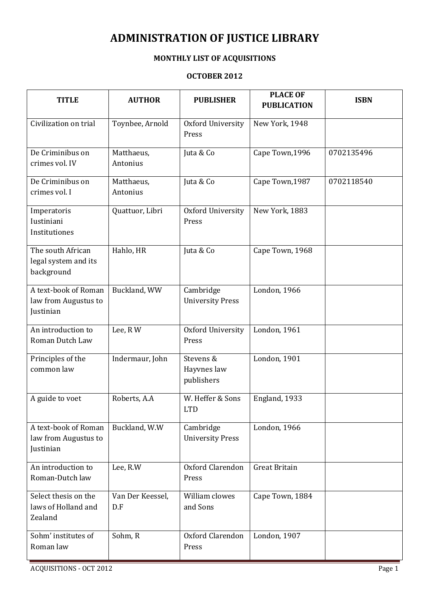## ADMINISTRATION OF JUSTICE LIBRARY

## MONTHLY LIST OF ACQUISITIONS

## OCTOBER 2012

| <b>TITLE</b>                                              | <b>AUTHOR</b>           | <b>PUBLISHER</b>                       | <b>PLACE OF</b><br><b>PUBLICATION</b> | <b>ISBN</b> |
|-----------------------------------------------------------|-------------------------|----------------------------------------|---------------------------------------|-------------|
| Civilization on trial                                     | Toynbee, Arnold         | Oxford University<br>Press             | New York, 1948                        |             |
| De Criminibus on<br>crimes vol. IV                        | Matthaeus,<br>Antonius  | Juta & Co                              | Cape Town, 1996                       | 0702135496  |
| De Criminibus on<br>crimes vol. I                         | Matthaeus,<br>Antonius  | Juta & Co                              | Cape Town, 1987                       | 0702118540  |
| Imperatoris<br>Iustiniani<br>Institutiones                | Quattuor, Libri         | Oxford University<br>Press             | New York, 1883                        |             |
| The south African<br>legal system and its<br>background   | Hahlo, HR               | Juta & Co                              | Cape Town, 1968                       |             |
| A text-book of Roman<br>law from Augustus to<br>Justinian | Buckland, WW            | Cambridge<br><b>University Press</b>   | London, $1966$                        |             |
| An introduction to<br>Roman Dutch Law                     | Lee, RW                 | Oxford University<br>Press             | London, 1961                          |             |
| Principles of the<br>common law                           | Indermaur, John         | Stevens &<br>Hayvnes law<br>publishers | London, 1901                          |             |
| A guide to voet                                           | Roberts, A.A            | W. Heffer & Sons<br><b>LTD</b>         | England, 1933                         |             |
| A text-book of Roman<br>law from Augustus to<br>Justinian | Buckland, W.W           | Cambridge<br><b>University Press</b>   | London, 1966                          |             |
| An introduction to<br>Roman-Dutch law                     | Lee, R.W                | Oxford Clarendon<br>Press              | <b>Great Britain</b>                  |             |
| Select thesis on the<br>laws of Holland and<br>Zealand    | Van Der Keessel,<br>D.F | William clowes<br>and Sons             | Cape Town, 1884                       |             |
| Sohm' institutes of<br>Roman law                          | Sohm, R                 | Oxford Clarendon<br>Press              | London, 1907                          |             |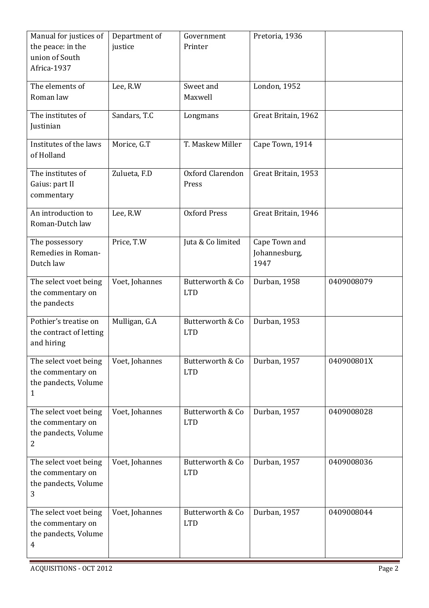| Manual for justices of<br>the peace: in the<br>union of South<br>Africa-1937         | Department of<br>justice | Government<br>Printer          | Pretoria, 1936                         |            |
|--------------------------------------------------------------------------------------|--------------------------|--------------------------------|----------------------------------------|------------|
| The elements of<br>Roman law                                                         | Lee, R.W                 | Sweet and<br>Maxwell           | London, 1952                           |            |
| The institutes of<br>Justinian                                                       | Sandars, T.C             | Longmans                       | Great Britain, 1962                    |            |
| Institutes of the laws<br>of Holland                                                 | Morice, G.T              | T. Maskew Miller               | Cape Town, 1914                        |            |
| The institutes of<br>Gaius: part II<br>commentary                                    | Zulueta, F.D             | Oxford Clarendon<br>Press      | Great Britain, 1953                    |            |
| An introduction to<br>Roman-Dutch law                                                | Lee, R.W                 | <b>Oxford Press</b>            | Great Britain, 1946                    |            |
| The possessory<br>Remedies in Roman-<br>Dutch law                                    | Price, T.W               | Juta & Co limited              | Cape Town and<br>Johannesburg,<br>1947 |            |
| The select voet being<br>the commentary on<br>the pandects                           | Voet, Johannes           | Butterworth & Co<br><b>LTD</b> | Durban, 1958                           | 0409008079 |
| Pothier's treatise on<br>the contract of letting<br>and hiring                       | Mulligan, G.A            | Butterworth & Co<br><b>LTD</b> | Durban, 1953                           |            |
| The select voet being<br>the commentary on<br>the pandects, Volume<br>1              | Voet, Johannes           | Butterworth & Co<br><b>LTD</b> | Durban, 1957                           | 040900801X |
| The select voet being<br>the commentary on<br>the pandects, Volume<br>2              | Voet, Johannes           | Butterworth & Co<br><b>LTD</b> | Durban, 1957                           | 0409008028 |
| The select voet being<br>the commentary on<br>the pandects, Volume<br>3              | Voet, Johannes           | Butterworth & Co<br><b>LTD</b> | Durban, 1957                           | 0409008036 |
| The select voet being<br>the commentary on<br>the pandects, Volume<br>$\overline{4}$ | Voet, Johannes           | Butterworth & Co<br><b>LTD</b> | Durban, 1957                           | 0409008044 |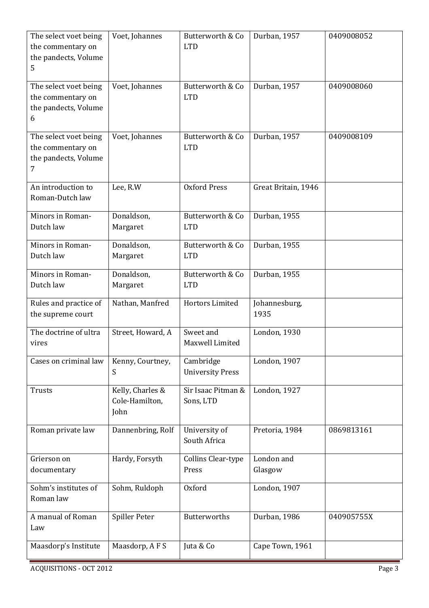| The select voet being<br>the commentary on<br>the pandects, Volume<br>5 | Voet, Johannes                             | Butterworth & Co<br><b>LTD</b>       | Durban, 1957          | 0409008052 |
|-------------------------------------------------------------------------|--------------------------------------------|--------------------------------------|-----------------------|------------|
| The select voet being<br>the commentary on<br>the pandects, Volume<br>6 | Voet, Johannes                             | Butterworth & Co<br><b>LTD</b>       | Durban, 1957          | 0409008060 |
| The select voet being<br>the commentary on<br>the pandects, Volume<br>7 | Voet, Johannes                             | Butterworth & Co<br><b>LTD</b>       | Durban, 1957          | 0409008109 |
| An introduction to<br>Roman-Dutch law                                   | Lee, R.W                                   | <b>Oxford Press</b>                  | Great Britain, 1946   |            |
| Minors in Roman-<br>Dutch law                                           | Donaldson,<br>Margaret                     | Butterworth & Co<br><b>LTD</b>       | Durban, 1955          |            |
| Minors in Roman-<br>Dutch law                                           | Donaldson,<br>Margaret                     | Butterworth & Co<br><b>LTD</b>       | Durban, 1955          |            |
| Minors in Roman-<br>Dutch law                                           | Donaldson,<br>Margaret                     | Butterworth & Co<br><b>LTD</b>       | Durban, 1955          |            |
| Rules and practice of<br>the supreme court                              | Nathan, Manfred                            | Hortors Limited                      | Johannesburg,<br>1935 |            |
| The doctrine of ultra<br>vires                                          | Street, Howard, A                          | Sweet and<br>Maxwell Limited         | London, 1930          |            |
| Cases on criminal law                                                   | Kenny, Courtney,<br>S                      | Cambridge<br><b>University Press</b> | London, 1907          |            |
| Trusts                                                                  | Kelly, Charles &<br>Cole-Hamilton,<br>John | Sir Isaac Pitman &<br>Sons, LTD      | London, 1927          |            |
| Roman private law                                                       | Dannenbring, Rolf                          | University of<br>South Africa        | Pretoria, 1984        | 0869813161 |
| Grierson on<br>documentary                                              | Hardy, Forsyth                             | Collins Clear-type<br>Press          | London and<br>Glasgow |            |
| Sohm's institutes of<br>Roman law                                       | Sohm, Ruldoph                              | Oxford                               | London, 1907          |            |
| A manual of Roman<br>Law                                                | Spiller Peter                              | <b>Butterworths</b>                  | Durban, 1986          | 040905755X |
| Maasdorp's Institute                                                    | Maasdorp, AFS                              | Juta & Co                            | Cape Town, 1961       |            |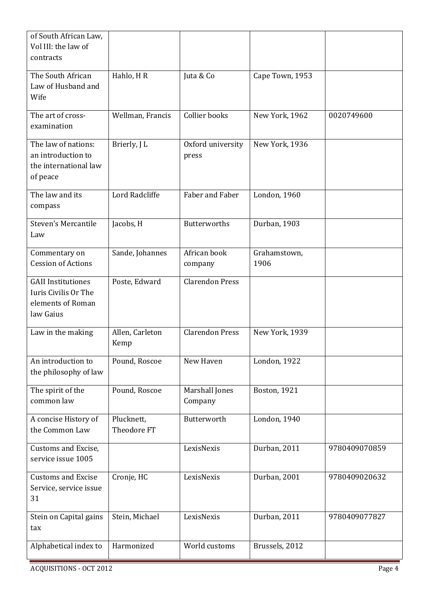| of South African Law,<br>Vol III: the law of<br>contracts                           |                           |                            |                      |               |
|-------------------------------------------------------------------------------------|---------------------------|----------------------------|----------------------|---------------|
| The South African<br>Law of Husband and<br>Wife                                     | Hahlo, HR                 | Juta & Co                  | Cape Town, 1953      |               |
| The art of cross-<br>examination                                                    | Wellman, Francis          | Collier books              | New York, 1962       | 0020749600    |
| The law of nations:<br>an introduction to<br>the international law<br>of peace      | Brierly, J L              | Oxford university<br>press | New York, 1936       |               |
| The law and its<br>compass                                                          | Lord Radcliffe            | Faber and Faber            | London, 1960         |               |
| <b>Steven's Mercantile</b><br>Law                                                   | Jacobs, H                 | <b>Butterworths</b>        | Durban, 1903         |               |
| Commentary on<br><b>Cession of Actions</b>                                          | Sande, Johannes           | African book<br>company    | Grahamstown,<br>1906 |               |
| <b>GAII</b> Institutiones<br>Iuris Civilis Or The<br>elements of Roman<br>law Gaius | Poste, Edward             | <b>Clarendon Press</b>     |                      |               |
| Law in the making                                                                   | Allen, Carleton<br>Kemp   | <b>Clarendon Press</b>     | New York, 1939       |               |
| An introduction to<br>the philosophy of law                                         | Pound, Roscoe             | New Haven                  | London, 1922         |               |
| The spirit of the<br>common law                                                     | Pound, Roscoe             | Marshall Jones<br>Company  | Boston, 1921         |               |
| A concise History of<br>the Common Law                                              | Plucknett,<br>Theodore FT | Butterworth                | London, 1940         |               |
| Customs and Excise,<br>service issue 1005                                           |                           | LexisNexis                 | Durban, 2011         | 9780409070859 |
| <b>Customs and Excise</b><br>Service, service issue<br>31                           | Cronje, HC                | LexisNexis                 | Durban, 2001         | 9780409020632 |
| Stein on Capital gains<br>tax                                                       | Stein, Michael            | LexisNexis                 | Durban, 2011         | 9780409077827 |
| Alphabetical index to                                                               | Harmonized                | World customs              | Brussels, 2012       |               |